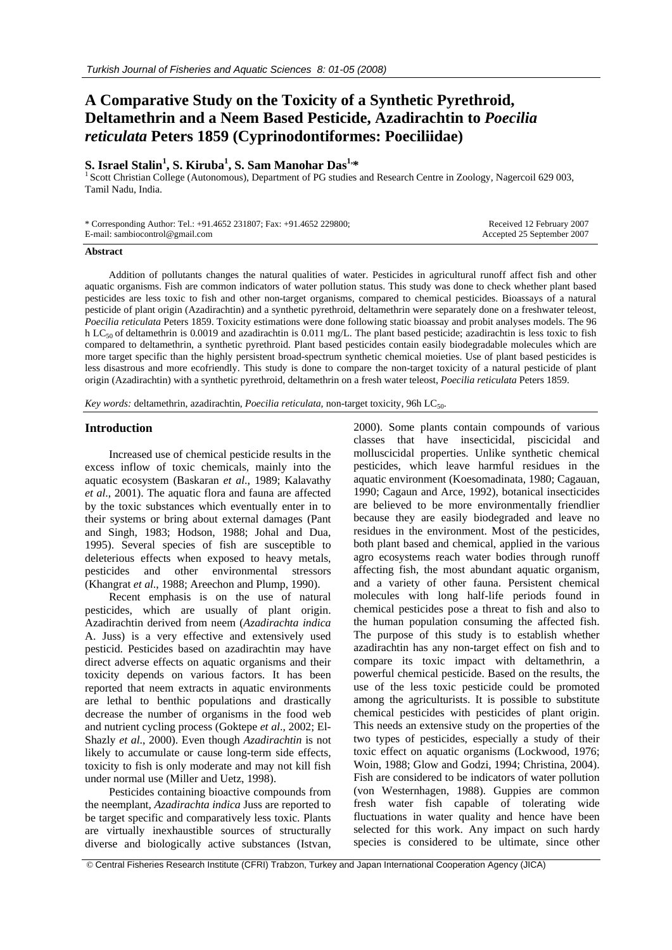# **A Comparative Study on the Toxicity of a Synthetic Pyrethroid, Deltamethrin and a Neem Based Pesticide, Azadirachtin to** *Poecilia reticulata* **Peters 1859 (Cyprinodontiformes: Poeciliidae)**

# $\mathbf S$ . Israel Stalin<sup>1</sup>, S. Kiruba<sup>1</sup>

<sup>1</sup> Scott Christian College (Autonomous), Department of PG studies and Research Centre in Zoology, Nagercoil 629 003, Tamil Nadu, India.

| * Corresponding Author: Tel.: +91.4652 231807; Fax: +91.4652 229800; | Received 12 February 2007  |
|----------------------------------------------------------------------|----------------------------|
| E-mail: sambiocontrol@gmail.com                                      | Accepted 25 September 2007 |

#### **Abstract**

Addition of pollutants changes the natural qualities of water. Pesticides in agricultural runoff affect fish and other aquatic organisms. Fish are common indicators of water pollution status. This study was done to check whether plant based pesticides are less toxic to fish and other non-target organisms, compared to chemical pesticides. Bioassays of a natural pesticide of plant origin (Azadirachtin) and a synthetic pyrethroid, deltamethrin were separately done on a freshwater teleost, *Poecilia reticulata* Peters 1859. Toxicity estimations were done following static bioassay and probit analyses models. The 96 h LC<sub>50</sub> of deltamethrin is 0.0019 and azadirachtin is 0.011 mg/L. The plant based pesticide; azadirachtin is less toxic to fish compared to deltamethrin, a synthetic pyrethroid. Plant based pesticides contain easily biodegradable molecules which are more target specific than the highly persistent broad-spectrum synthetic chemical moieties. Use of plant based pesticides is less disastrous and more ecofriendly. This study is done to compare the non-target toxicity of a natural pesticide of plant origin (Azadirachtin) with a synthetic pyrethroid, deltamethrin on a fresh water teleost, *Poecilia reticulata* Peters 1859.

*Key words:* deltamethrin, azadirachtin, *Poecilia reticulata*, non-target toxicity, 96h LC<sub>50</sub>.

# **Introduction**

Increased use of chemical pesticide results in the excess inflow of toxic chemicals, mainly into the aquatic ecosystem (Baskaran *et al*., 1989; Kalavathy *et al*., 2001). The aquatic flora and fauna are affected by the toxic substances which eventually enter in to their systems or bring about external damages (Pant and Singh, 1983; Hodson, 1988; Johal and Dua, 1995). Several species of fish are susceptible to deleterious effects when exposed to heavy metals, pesticides and other environmental stressors (Khangrat *et al*., 1988; Areechon and Plump, 1990).

Recent emphasis is on the use of natural pesticides, which are usually of plant origin. Azadirachtin derived from neem (*Azadirachta indica*  A. Juss) is a very effective and extensively used pesticid. Pesticides based on azadirachtin may have direct adverse effects on aquatic organisms and their toxicity depends on various factors. It has been reported that neem extracts in aquatic environments are lethal to benthic populations and drastically decrease the number of organisms in the food web and nutrient cycling process (Goktepe *et al*., 2002; El-Shazly *et al*., 2000). Even though *Azadirachtin* is not likely to accumulate or cause long-term side effects, toxicity to fish is only moderate and may not kill fish under normal use (Miller and Uetz, 1998).

Pesticides containing bioactive compounds from the neemplant, *Azadirachta indica* Juss are reported to be target specific and comparatively less toxic. Plants are virtually inexhaustible sources of structurally diverse and biologically active substances (Istvan, 2000). Some plants contain compounds of various classes that have insecticidal, piscicidal and molluscicidal properties. Unlike synthetic chemical pesticides, which leave harmful residues in the aquatic environment (Koesomadinata, 1980; Cagauan, 1990; Cagaun and Arce, 1992), botanical insecticides are believed to be more environmentally friendlier because they are easily biodegraded and leave no residues in the environment. Most of the pesticides, both plant based and chemical, applied in the various agro ecosystems reach water bodies through runoff affecting fish, the most abundant aquatic organism, and a variety of other fauna. Persistent chemical molecules with long half-life periods found in chemical pesticides pose a threat to fish and also to the human population consuming the affected fish. The purpose of this study is to establish whether azadirachtin has any non-target effect on fish and to compare its toxic impact with deltamethrin, a powerful chemical pesticide. Based on the results, the use of the less toxic pesticide could be promoted among the agriculturists. It is possible to substitute chemical pesticides with pesticides of plant origin. This needs an extensive study on the properties of the two types of pesticides, especially a study of their toxic effect on aquatic organisms (Lockwood, 1976; Woin, 1988; Glow and Godzi, 1994; Christina, 2004). Fish are considered to be indicators of water pollution (von Westernhagen, 1988). Guppies are common fresh water fish capable of tolerating wide fluctuations in water quality and hence have been selected for this work. Any impact on such hardy species is considered to be ultimate, since other

© Central Fisheries Research Institute (CFRI) Trabzon, Turkey and Japan International Cooperation Agency (JICA)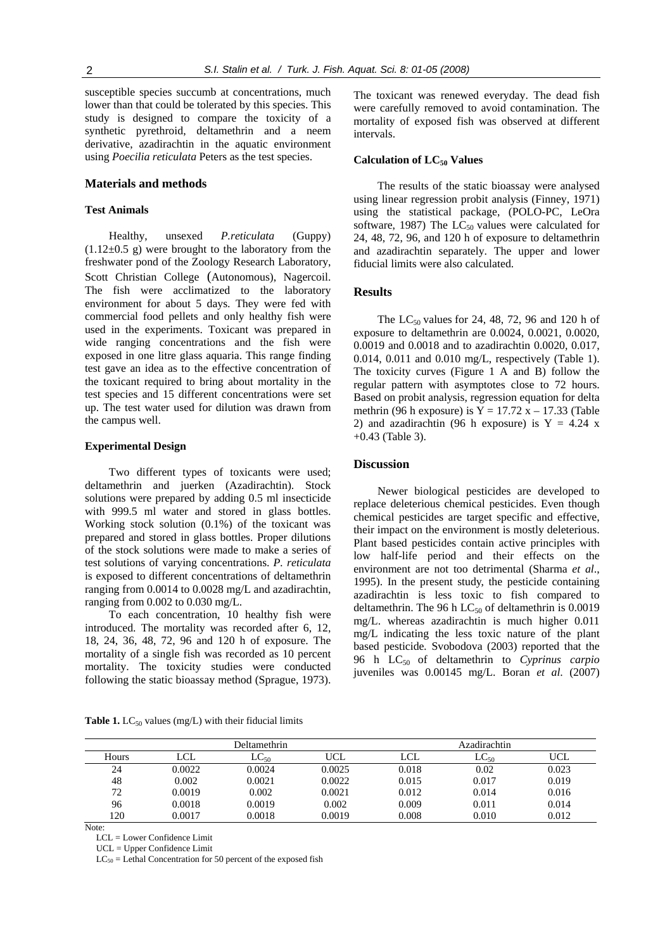susceptible species succumb at concentrations, much lower than that could be tolerated by this species. This study is designed to compare the toxicity of a synthetic pyrethroid, deltamethrin and a neem derivative, azadirachtin in the aquatic environment using *Poecilia reticulata* Peters as the test species.

# **Materials and methods**

# **Test Animals**

Healthy, unsexed *P.reticulata* (Guppy)  $(1.12\pm0.5)$  g) were brought to the laboratory from the freshwater pond of the Zoology Research Laboratory, Scott Christian College (Autonomous), Nagercoil. The fish were acclimatized to the laboratory environment for about 5 days. They were fed with commercial food pellets and only healthy fish were used in the experiments. Toxicant was prepared in wide ranging concentrations and the fish were exposed in one litre glass aquaria. This range finding test gave an idea as to the effective concentration of the toxicant required to bring about mortality in the test species and 15 different concentrations were set up. The test water used for dilution was drawn from the campus well.

## **Experimental Design**

Two different types of toxicants were used; deltamethrin and juerken (Azadirachtin). Stock solutions were prepared by adding 0.5 ml insecticide with 999.5 ml water and stored in glass bottles. Working stock solution (0.1%) of the toxicant was prepared and stored in glass bottles. Proper dilutions of the stock solutions were made to make a series of test solutions of varying concentrations. *P. reticulata* is exposed to different concentrations of deltamethrin ranging from 0.0014 to 0.0028 mg/L and azadirachtin, ranging from 0.002 to 0.030 mg/L.

To each concentration, 10 healthy fish were introduced. The mortality was recorded after 6, 12, 18, 24, 36, 48, 72, 96 and 120 h of exposure. The mortality of a single fish was recorded as 10 percent mortality. The toxicity studies were conducted following the static bioassay method (Sprague, 1973). The toxicant was renewed everyday. The dead fish were carefully removed to avoid contamination. The mortality of exposed fish was observed at different intervals.

#### **Calculation of LC<sub>50</sub> Values**

The results of the static bioassay were analysed using linear regression probit analysis (Finney, 1971) using the statistical package, (POLO-PC, LeOra software, 1987) The  $LC_{50}$  values were calculated for 24, 48, 72, 96, and 120 h of exposure to deltamethrin and azadirachtin separately. The upper and lower fiducial limits were also calculated.

# **Results**

The  $LC_{50}$  values for 24, 48, 72, 96 and 120 h of exposure to deltamethrin are 0.0024, 0.0021, 0.0020, 0.0019 and 0.0018 and to azadirachtin 0.0020, 0.017, 0.014, 0.011 and 0.010 mg/L, respectively (Table 1). The toxicity curves (Figure 1 A and B) follow the regular pattern with asymptotes close to 72 hours. Based on probit analysis, regression equation for delta methrin (96 h exposure) is  $Y = 17.72$  x  $- 17.33$  (Table 2) and azadirachtin (96 h exposure) is  $Y = 4.24$  x +0.43 (Table 3).

# **Discussion**

Newer biological pesticides are developed to replace deleterious chemical pesticides. Even though chemical pesticides are target specific and effective, their impact on the environment is mostly deleterious. Plant based pesticides contain active principles with low half-life period and their effects on the environment are not too detrimental (Sharma *et al*., 1995). In the present study, the pesticide containing azadirachtin is less toxic to fish compared to deltamethrin. The 96 h  $LC_{50}$  of deltamethrin is 0.0019 mg/L. whereas azadirachtin is much higher 0.011 mg/L indicating the less toxic nature of the plant based pesticide*.* Svobodova (2003) reported that the 96 h LC50 of deltamethrin to *Cyprinus carpio*  juveniles was 0.00145 mg/L. Boran *et al*. (2007)

Table 1. LC<sub>50</sub> values (mg/L) with their fiducial limits

|       |            | Deltamethrin | Azadirachtin |       |           |       |
|-------|------------|--------------|--------------|-------|-----------|-------|
| Hours | <b>LCL</b> | $LC_{50}$    | UCL          | LCL   | $LC_{50}$ | UCL   |
| 24    | 0.0022     | 0.0024       | 0.0025       | 0.018 | 0.02      | 0.023 |
| 48    | 0.002      | 0.0021       | 0.0022       | 0.015 | 0.017     | 0.019 |
| 72    | 0.0019     | 0.002        | 0.0021       | 0.012 | 0.014     | 0.016 |
| 96    | 0.0018     | 0.0019       | 0.002        | 0.009 | 0.011     | 0.014 |
| 120   | 0.0017     | 0.0018       | 0.0019       | 0.008 | 0.010     | 0.012 |

Note:

LCL = Lower Confidence Limit

UCL = Upper Confidence Limit

 $LC_{50}$  = Lethal Concentration for 50 percent of the exposed fish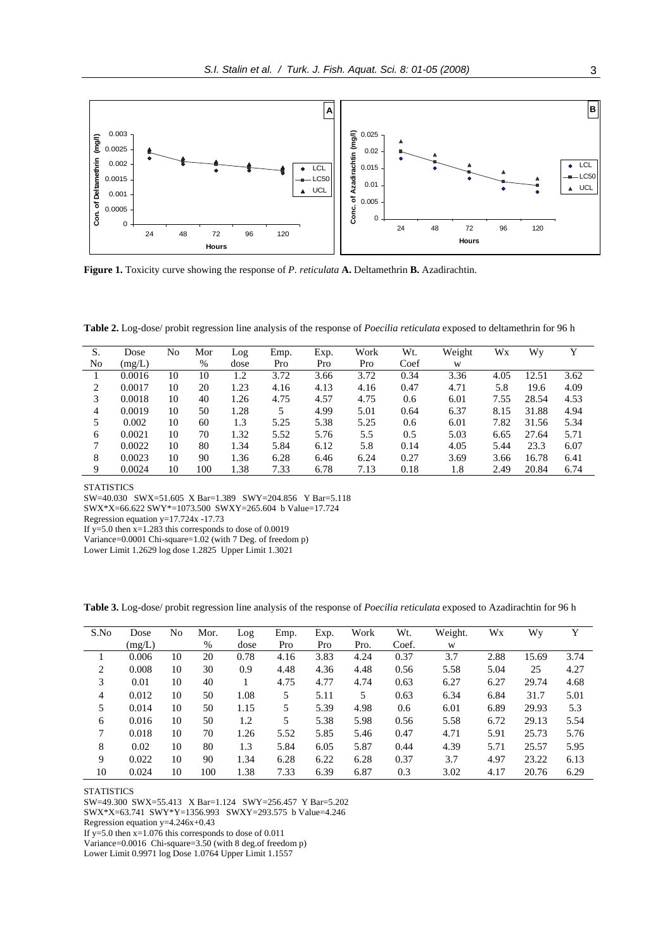

**Figure 1.** Toxicity curve showing the response of *P. reticulata* **A.** Deltamethrin **B.** Azadirachtin.

**Table 2.** Log-dose/ probit regression line analysis of the response of *Poecilia reticulata* exposed to deltamethrin for 96 h

| S.             | Dose   | No | Mor  | Log  | Emp. | Exp. | Work | Wt.  | Weight | Wx   | Wv    | Y    |
|----------------|--------|----|------|------|------|------|------|------|--------|------|-------|------|
| N <sub>0</sub> | (mg/L) |    | $\%$ | dose | Pro  | Pro  | Pro  | Coef | W      |      |       |      |
|                | 0.0016 | 10 | 10   | 1.2  | 3.72 | 3.66 | 3.72 | 0.34 | 3.36   | 4.05 | 12.51 | 3.62 |
| 2              | 0.0017 | 10 | 20   | 1.23 | 4.16 | 4.13 | 4.16 | 0.47 | 4.71   | 5.8  | 19.6  | 4.09 |
| 3              | 0.0018 | 10 | 40   | 1.26 | 4.75 | 4.57 | 4.75 | 0.6  | 6.01   | 7.55 | 28.54 | 4.53 |
| 4              | 0.0019 | 10 | 50   | 1.28 |      | 4.99 | 5.01 | 0.64 | 6.37   | 8.15 | 31.88 | 4.94 |
|                | 0.002  | 10 | 60   | 1.3  | 5.25 | 5.38 | 5.25 | 0.6  | 6.01   | 7.82 | 31.56 | 5.34 |
| 6              | 0.0021 | 10 | 70   | 1.32 | 5.52 | 5.76 | 5.5  | 0.5  | 5.03   | 6.65 | 27.64 | 5.71 |
| 7              | 0.0022 | 10 | 80   | 1.34 | 5.84 | 6.12 | 5.8  | 0.14 | 4.05   | 5.44 | 23.3  | 6.07 |
| 8              | 0.0023 | 10 | 90   | 1.36 | 6.28 | 6.46 | 6.24 | 0.27 | 3.69   | 3.66 | 16.78 | 6.41 |
| 9              | 0.0024 | 10 | 100  | 1.38 | 7.33 | 6.78 | 7.13 | 0.18 | 1.8    | 2.49 | 20.84 | 6.74 |

**STATISTICS** 

SW=40.030 SWX=51.605 X Bar=1.389 SWY=204.856 Y Bar=5.118

SWX\*X=66.622 SWY\*=1073.500 SWXY=265.604 b Value=17.724

Regression equation y=17.724x -17.73

If y=5.0 then  $x=1.283$  this corresponds to dose of 0.0019

Variance=0.0001 Chi-square=1.02 (with 7 Deg. of freedom p)

Lower Limit 1.2629 log dose 1.2825 Upper Limit 1.3021

**Table 3.** Log-dose/ probit regression line analysis of the response of *Poecilia reticulata* exposed to Azadirachtin for 96 h

| S.No | Dose   | No | Mor. | Log  | Emp. | Exp. | Work | Wt.   | Weight. | Wx   | Wy    | Y    |
|------|--------|----|------|------|------|------|------|-------|---------|------|-------|------|
|      | (mg/L) |    | %    | dose | Pro  | Pro  | Pro. | Coef. | W       |      |       |      |
|      | 0.006  | 10 | 20   | 0.78 | 4.16 | 3.83 | 4.24 | 0.37  | 3.7     | 2.88 | 15.69 | 3.74 |
| 2    | 0.008  | 10 | 30   | 0.9  | 4.48 | 4.36 | 4.48 | 0.56  | 5.58    | 5.04 | 25    | 4.27 |
| 3    | 0.01   | 10 | 40   |      | 4.75 | 4.77 | 4.74 | 0.63  | 6.27    | 6.27 | 29.74 | 4.68 |
| 4    | 0.012  | 10 | 50   | 1.08 | 5    | 5.11 | 5.   | 0.63  | 6.34    | 6.84 | 31.7  | 5.01 |
| 5    | 0.014  | 10 | 50   | 1.15 | 5    | 5.39 | 4.98 | 0.6   | 6.01    | 6.89 | 29.93 | 5.3  |
| 6    | 0.016  | 10 | 50   | 1.2  | 5    | 5.38 | 5.98 | 0.56  | 5.58    | 6.72 | 29.13 | 5.54 |
| 7    | 0.018  | 10 | 70   | 1.26 | 5.52 | 5.85 | 5.46 | 0.47  | 4.71    | 5.91 | 25.73 | 5.76 |
| 8    | 0.02   | 10 | 80   | 1.3  | 5.84 | 6.05 | 5.87 | 0.44  | 4.39    | 5.71 | 25.57 | 5.95 |
| 9    | 0.022  | 10 | 90   | 1.34 | 6.28 | 6.22 | 6.28 | 0.37  | 3.7     | 4.97 | 23.22 | 6.13 |
| 10   | 0.024  | 10 | 100  | 1.38 | 7.33 | 6.39 | 6.87 | 0.3   | 3.02    | 4.17 | 20.76 | 6.29 |

**STATISTICS** 

SW=49.300 SWX=55.413 X Bar=1.124 SWY=256.457 Y Bar=5.202

SWX\*X=63.741 SWY\*Y=1356.993 SWXY=293.575 b Value=4.246

Regression equation y=4.246x+0.43

If y=5.0 then  $x=1.076$  this corresponds to dose of 0.011

Variance=0.0016 Chi-square=3.50 (with 8 deg.of freedom p)

Lower Limit 0.9971 log Dose 1.0764 Upper Limit 1.1557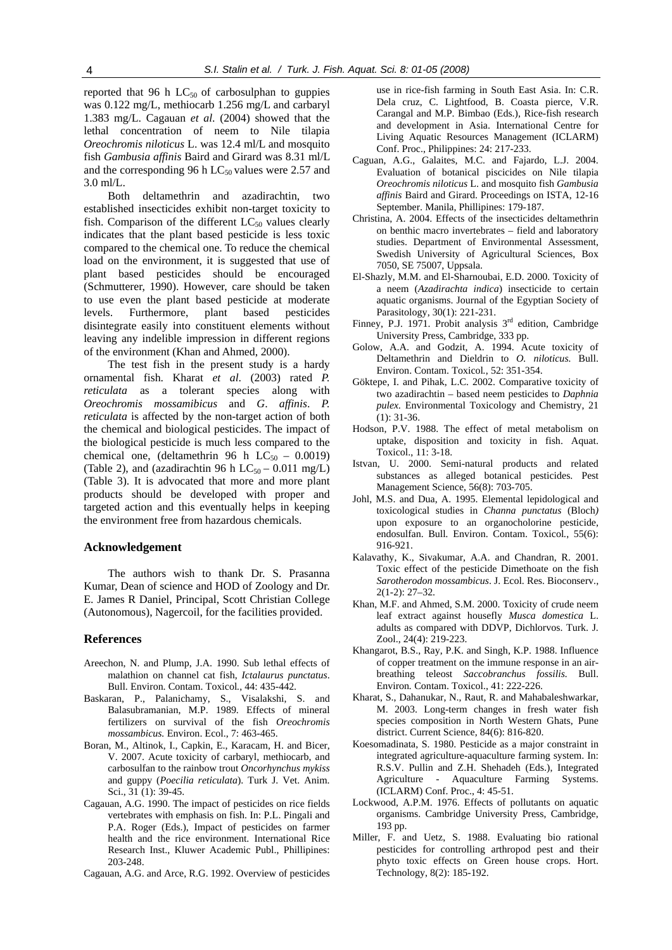reported that 96 h  $LC_{50}$  of carbosulphan to guppies was 0.122 mg/L, methiocarb 1.256 mg/L and carbaryl 1.383 mg/L. Cagauan *et al*. (2004) showed that the lethal concentration of neem to Nile tilapia *Oreochromis niloticus* L. was 12.4 ml/L and mosquito fish *Gambusia affinis* Baird and Girard was 8.31 ml/L and the corresponding 96 h  $LC_{50}$  values were 2.57 and 3.0 ml/L.

Both deltamethrin and azadirachtin, two established insecticides exhibit non-target toxicity to fish. Comparison of the different  $LC_{50}$  values clearly indicates that the plant based pesticide is less toxic compared to the chemical one. To reduce the chemical load on the environment, it is suggested that use of plant based pesticides should be encouraged (Schmutterer, 1990). However, care should be taken to use even the plant based pesticide at moderate levels. Furthermore, plant based pesticides disintegrate easily into constituent elements without leaving any indelible impression in different regions of the environment (Khan and Ahmed, 2000).

The test fish in the present study is a hardy ornamental fish. Kharat *et al*. (2003) rated *P. reticulata* as a tolerant species along with *Oreochromis mossamibicus* and *G*. *affinis*. *P. reticulata* is affected by the non-target action of both the chemical and biological pesticides. The impact of the biological pesticide is much less compared to the chemical one, (deltamethrin 96 h  $LC_{50}$  – 0.0019) (Table 2), and (azadirachtin 96 h  $LC_{50}$  – 0.011 mg/L) (Table 3). It is advocated that more and more plant products should be developed with proper and targeted action and this eventually helps in keeping the environment free from hazardous chemicals.

#### **Acknowledgement**

The authors wish to thank Dr. S. Prasanna Kumar, Dean of science and HOD of Zoology and Dr. E. James R Daniel, Principal, Scott Christian College (Autonomous), Nagercoil, for the facilities provided.

## **References**

- Areechon, N. and Plump, J.A. 1990. Sub lethal effects of malathion on channel cat fish, *Ictalaurus punctatus*. Bull. Environ. Contam. Toxicol*.*, 44: 435-442.
- Baskaran, P., Palanichamy, S., Visalakshi, S. and Balasubramanian, M.P. 1989. Effects of mineral fertilizers on survival of the fish *Oreochromis mossambicus.* Environ. Ecol., 7: 463-465.
- Boran, M., Altinok, I., Capkin, E., Karacam, H. and Bicer, V. 2007. Acute toxicity of carbaryl, methiocarb, and carbosulfan to the rainbow trout *Oncorhynchus mykiss* and guppy (*Poecilia reticulata*). Turk J. Vet. Anim. Sci., 31 (1): 39-45.
- Cagauan, A.G. 1990. The impact of pesticides on rice fields vertebrates with emphasis on fish. In: P.L. Pingali and P.A. Roger (Eds.), Impact of pesticides on farmer health and the rice environment. International Rice Research Inst., Kluwer Academic Publ., Phillipines: 203-248.
- Cagauan, A.G. and Arce, R.G. 1992. Overview of pesticides

use in rice-fish farming in South East Asia. In: C.R. Dela cruz, C. Lightfood, B. Coasta pierce, V.R. Carangal and M.P. Bimbao (Eds.), Rice-fish research and development in Asia. International Centre for Living Aquatic Resources Management (ICLARM) Conf. Proc., Philippines: 24: 217-233.

- Caguan, A.G., Galaites, M.C. and Fajardo, L.J. 2004. Evaluation of botanical piscicides on Nile tilapia *Oreochromis niloticus* L. and mosquito fish *Gambusia affinis* Baird and Girard. Proceedings on ISTA, 12-16 September. Manila, Phillipines: 179-187.
- Christina, A. 2004. Effects of the insecticides deltamethrin on benthic macro invertebrates – field and laboratory studies. Department of Environmental Assessment, Swedish University of Agricultural Sciences, Box 7050, SE 75007, Uppsala.
- El-Shazly, M.M. and El-Sharnoubai, E.D. 2000. Toxicity of a neem (*Azadirachta indica*) insecticide to certain aquatic organisms. Journal of the Egyptian Society of Parasitology, 30(1): 221-231.
- Finney, P.J. 1971. Probit analysis 3<sup>rd</sup> edition, Cambridge University Press, Cambridge, 333 pp.
- Golow, A.A. and Godzit, A. 1994. Acute toxicity of Deltamethrin and Dieldrin to *O. niloticus.* Bull. Environ. Contam. Toxicol*.*, 52: 351-354.
- Göktepe, I. and Pihak, L.C. 2002. Comparative toxicity of two azadirachtin – based neem pesticides to *Daphnia pulex.* Environmental Toxicology and Chemistry, 21 (1): 31-36.
- Hodson, P.V. 1988. The effect of metal metabolism on uptake, disposition and toxicity in fish. Aquat. Toxicol., 11: 3-18.
- Istvan, U. 2000. Semi-natural products and related substances as alleged botanical pesticides. Pest Management Science, 56(8): 703-705.
- Johl, M.S. and Dua, A. 1995. Elemental lepidological and toxicological studies in *Channa punctatus* (Bloch*)* upon exposure to an organocholorine pesticide, endosulfan. Bull*.* Environ. Contam. Toxicol*.*, 55(6): 916-921.
- Kalavathy, K., Sivakumar, A.A. and Chandran, R. 2001. Toxic effect of the pesticide Dimethoate on the fish *Sarotherodon mossambicus*. J. Ecol. Res. Bioconserv., 2(1-2): 27–32.
- Khan, M.F. and Ahmed, S.M. 2000. Toxicity of crude neem leaf extract against housefly *Musca domestica* L. adults as compared with DDVP, Dichlorvos. Turk. J. Zool., 24(4): 219-223.
- Khangarot, B.S., Ray, P.K. and Singh, K.P. 1988. Influence of copper treatment on the immune response in an airbreathing teleost *Saccobranchus fossilis.* Bull. Environ*.* Contam. Toxicol., 41: 222-226.
- Kharat, S., Dahanukar, N., Raut, R. and Mahabaleshwarkar, M. 2003. Long-term changes in fresh water fish species composition in North Western Ghats, Pune district. Current Science, 84(6): 816-820.
- Koesomadinata, S. 1980. Pesticide as a major constraint in integrated agriculture-aquaculture farming system. In: R.S.V. Pullin and Z.H. Shehadeh (Eds.), Integrated Agriculture - Aquaculture Farming Systems. (ICLARM) Conf. Proc., 4: 45-51.
- Lockwood, A.P.M. 1976. Effects of pollutants on aquatic organisms. Cambridge University Press, Cambridge, 193 pp.
- Miller, F. and Uetz, S. 1988. Evaluating bio rational pesticides for controlling arthropod pest and their phyto toxic effects on Green house crops. Hort. Technology, 8(2): 185-192.